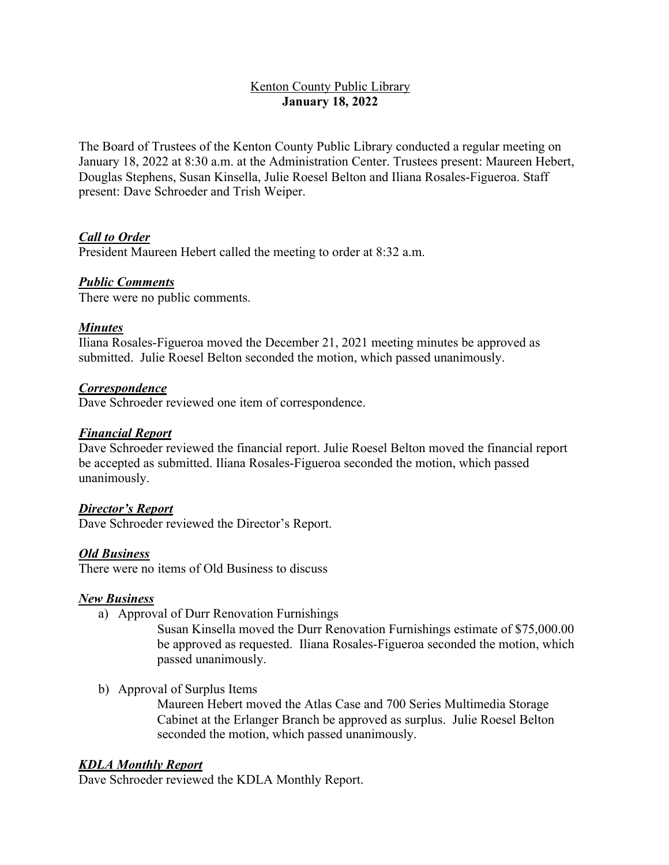# Kenton County Public Library **January 18, 2022**

The Board of Trustees of the Kenton County Public Library conducted a regular meeting on January 18, 2022 at 8:30 a.m. at the Administration Center. Trustees present: Maureen Hebert, Douglas Stephens, Susan Kinsella, Julie Roesel Belton and Iliana Rosales-Figueroa. Staff present: Dave Schroeder and Trish Weiper.

# *Call to Order*

President Maureen Hebert called the meeting to order at 8:32 a.m.

# *Public Comments*

There were no public comments.

### *Minutes*

Iliana Rosales-Figueroa moved the December 21, 2021 meeting minutes be approved as submitted. Julie Roesel Belton seconded the motion, which passed unanimously.

#### *Correspondence*

Dave Schroeder reviewed one item of correspondence.

#### *Financial Report*

Dave Schroeder reviewed the financial report. Julie Roesel Belton moved the financial report be accepted as submitted. Iliana Rosales-Figueroa seconded the motion, which passed unanimously.

# *Director's Report*

Dave Schroeder reviewed the Director's Report.

# *Old Business*

There were no items of Old Business to discuss

#### *New Business*

a) Approval of Durr Renovation Furnishings

Susan Kinsella moved the Durr Renovation Furnishings estimate of \$75,000.00 be approved as requested. Iliana Rosales-Figueroa seconded the motion, which passed unanimously.

b) Approval of Surplus Items

Maureen Hebert moved the Atlas Case and 700 Series Multimedia Storage Cabinet at the Erlanger Branch be approved as surplus. Julie Roesel Belton seconded the motion, which passed unanimously.

#### *KDLA Monthly Report*

Dave Schroeder reviewed the KDLA Monthly Report.